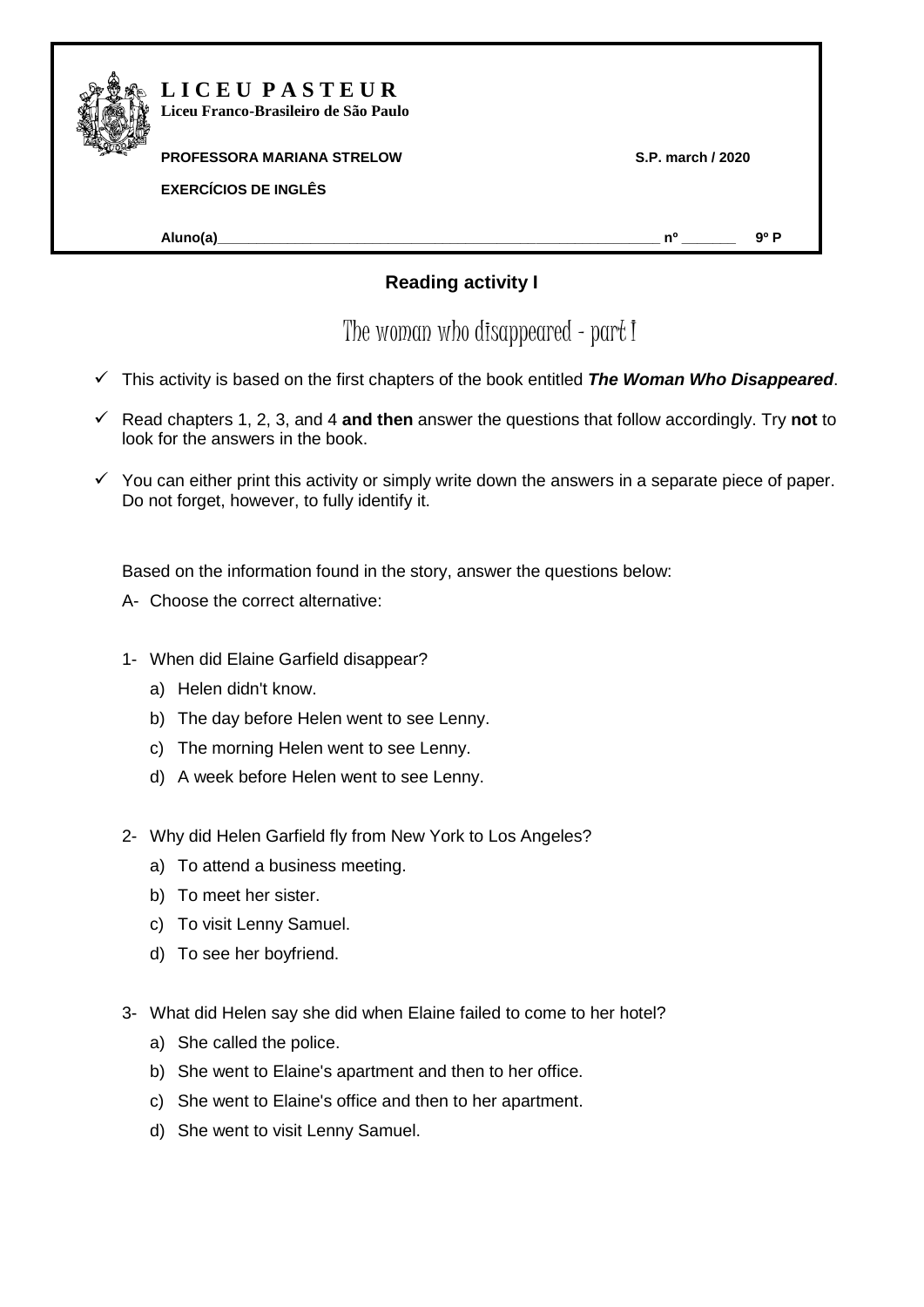

## **L I C E U P A S T E U R Liceu Franco-Brasileiro de São Paulo**

## **PROFESSORA MARIANA STRELOW S.P. march / 2020**

**EXERCÍCIOS DE INGLÊS** 

**Aluno(a)\_\_\_\_\_\_\_\_\_\_\_\_\_\_\_\_\_\_\_\_\_\_\_\_\_\_\_\_\_\_\_\_\_\_\_\_\_\_\_\_\_\_\_\_\_\_\_\_\_\_\_\_\_\_\_\_\_ nº \_\_\_\_\_\_\_ 9º P**

## $\bm{\mathsf{Reading\ activity\ I}}$

The woman who disappeared – part I .

- This activity is based on the first chapters of the book entitled *The Woman Who Disappeared*.
- Read chapters 1, 2, 3, and 4 **and then** answer the questions that follow accordingly. Try **not** to look for the answers in the book.
- $\checkmark$  You can either print this activity or simply write down the answers in a separate piece of paper. Do not forget, however, to fully identify it.

Based on the information found in the story, answer the questions below:

- A- Choose the correct alternative:
- 1- When did Elaine Garfield disappear?
	- a) Helen didn't know.
	- b) The day before Helen went to see Lenny.
	- c) The morning Helen went to see Lenny.
	- d) A week before Helen went to see Lenny.
- 2- Why did Helen Garfield fly from New York to Los Angeles?
	- a) To attend a business meeting.
	- b) To meet her sister.
	- c) To visit Lenny Samuel.
	- d) To see her boyfriend.
- 3- What did Helen say she did when Elaine failed to come to her hotel?
	- a) She called the police.
	- b) She went to Elaine's apartment and then to her office.
	- c) She went to Elaine's office and then to her apartment.
	- d) She went to visit Lenny Samuel.